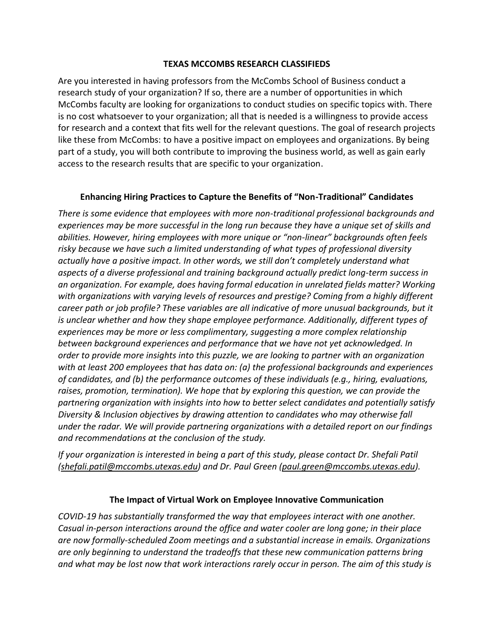### **TEXAS MCCOMBS RESEARCH CLASSIFIEDS**

Are you interested in having professors from the McCombs School of Business conduct a research study of your organization? If so, there are a number of opportunities in which McCombs faculty are looking for organizations to conduct studies on specific topics with. There is no cost whatsoever to your organization; all that is needed is a willingness to provide access for research and a context that fits well for the relevant questions. The goal of research projects like these from McCombs: to have a positive impact on employees and organizations. By being part of a study, you will both contribute to improving the business world, as well as gain early access to the research results that are specific to your organization.

## **Enhancing Hiring Practices to Capture the Benefits of "Non-Traditional" Candidates**

*There is some evidence that employees with more non-traditional professional backgrounds and experiences may be more successful in the long run because they have a unique set of skills and abilities. However, hiring employees with more unique or "non-linear" backgrounds often feels risky because we have such a limited understanding of what types of professional diversity actually have a positive impact. In other words, we still don't completely understand what aspects of a diverse professional and training background actually predict long-term success in an organization. For example, does having formal education in unrelated fields matter? Working with organizations with varying levels of resources and prestige? Coming from a highly different career path or job profile? These variables are all indicative of more unusual backgrounds, but it is unclear whether and how they shape employee performance. Additionally, different types of experiences may be more or less complimentary, suggesting a more complex relationship between background experiences and performance that we have not yet acknowledged. In order to provide more insights into this puzzle, we are looking to partner with an organization with at least 200 employees that has data on: (a) the professional backgrounds and experiences of candidates, and (b) the performance outcomes of these individuals (e.g., hiring, evaluations, raises, promotion, termination). We hope that by exploring this question, we can provide the partnering organization with insights into how to better select candidates and potentially satisfy Diversity & Inclusion objectives by drawing attention to candidates who may otherwise fall under the radar. We will provide partnering organizations with a detailed report on our findings and recommendations at the conclusion of the study.*

*If your organization is interested in being a part of this study, please contact Dr. Shefali Patil [\(shefali.patil@mccombs.utexas.edu\)](mailto:shefali.patil@mccombs.utexas.edu) and Dr. Paul Green [\(paul.green@mccombs.utexas.edu\)](mailto:paul.green@mccombs.utexas.edu).*

## **The Impact of Virtual Work on Employee Innovative Communication**

*COVID-19 has substantially transformed the way that employees interact with one another. Casual in-person interactions around the office and water cooler are long gone; in their place are now formally-scheduled Zoom meetings and a substantial increase in emails. Organizations are only beginning to understand the tradeoffs that these new communication patterns bring and what may be lost now that work interactions rarely occur in person. The aim of this study is*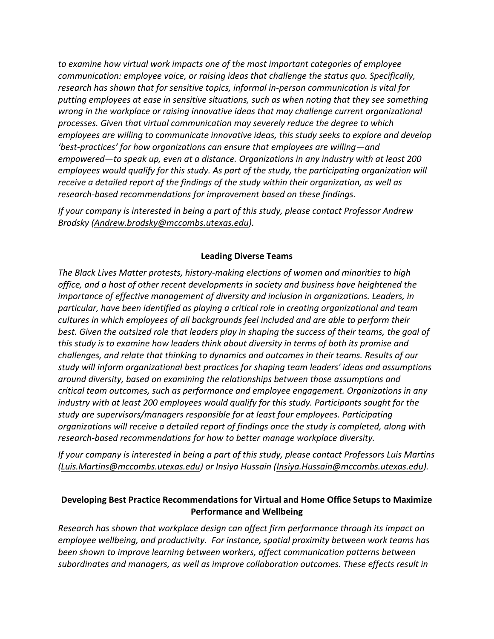*to examine how virtual work impacts one of the most important categories of employee communication: employee voice, or raising ideas that challenge the status quo. Specifically, research has shown that for sensitive topics, informal in-person communication is vital for putting employees at ease in sensitive situations, such as when noting that they see something wrong in the workplace or raising innovative ideas that may challenge current organizational processes. Given that virtual communication may severely reduce the degree to which employees are willing to communicate innovative ideas, this study seeks to explore and develop 'best-practices' for how organizations can ensure that employees are willing—and empowered—to speak up, even at a distance. Organizations in any industry with at least 200 employees would qualify for this study. As part of the study, the participating organization will receive a detailed report of the findings of the study within their organization, as well as research-based recommendations for improvement based on these findings.* 

*If your company is interested in being a part of this study, please contact Professor Andrew Brodsky [\(Andrew.brodsky@mccombs.utexas.edu\)](mailto:Andrew.brodsky@mccombs.utexas.edu).*

## **Leading Diverse Teams**

*The Black Lives Matter protests, history-making elections of women and minorities to high office, and a host of other recent developments in society and business have heightened the importance of effective management of diversity and inclusion in organizations. Leaders, in particular, have been identified as playing a critical role in creating organizational and team cultures in which employees of all backgrounds feel included and are able to perform their best. Given the outsized role that leaders play in shaping the success of their teams, the goal of this study is to examine how leaders think about diversity in terms of both its promise and challenges, and relate that thinking to dynamics and outcomes in their teams. Results of our study will inform organizational best practices for shaping team leaders' ideas and assumptions around diversity, based on examining the relationships between those assumptions and critical team outcomes, such as performance and employee engagement. Organizations in any industry with at least 200 employees would qualify for this study. Participants sought for the study are supervisors/managers responsible for at least four employees. Participating organizations will receive a detailed report of findings once the study is completed, along with research-based recommendations for how to better manage workplace diversity.*

*If your company is interested in being a part of this study, please contact Professors Luis Martins [\(Luis.Martins@mccombs.utexas.edu\)](mailto:Luis.Martins@mccombs.utexas.edu) or Insiya Hussain [\(Insiya.Hussain@mccombs.utexas.edu\)](mailto:Insiya.Hussain@mccombs.utexas.edu).*

# **Developing Best Practice Recommendations for Virtual and Home Office Setups to Maximize Performance and Wellbeing**

*Research has shown that workplace design can affect firm performance through its impact on employee wellbeing, and productivity. For instance, spatial proximity between work teams has been shown to improve learning between workers, affect communication patterns between subordinates and managers, as well as improve collaboration outcomes. These effects result in*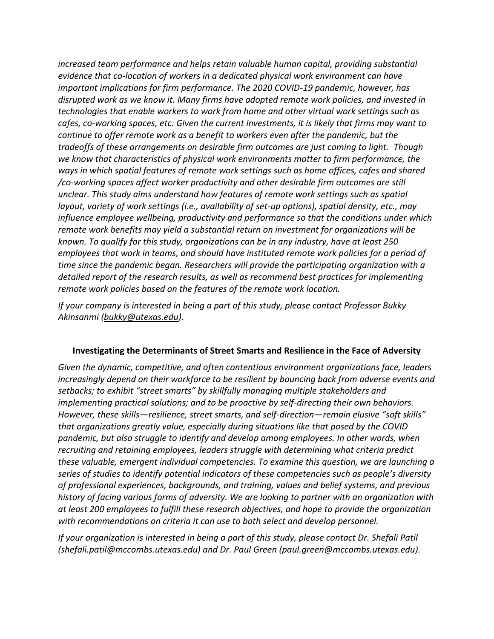*increased team performance and helps retain valuable human capital, providing substantial evidence that co-location of workers in a dedicated physical work environment can have important implications for firm performance. The 2020 COVID-19 pandemic, however, has disrupted work as we know it. Many firms have adopted remote work policies, and invested in technologies that enable workers to work from home and other virtual work settings such as cafes, co-working spaces, etc. Given the current investments, it is likely that firms may want to continue to offer remote work as a benefit to workers even after the pandemic, but the tradeoffs of these arrangements on desirable firm outcomes are just coming to light. Though we know that characteristics of physical work environments matter to firm performance, the ways in which spatial features of remote work settings such as home offices, cafes and shared /co-working spaces affect worker productivity and other desirable firm outcomes are still unclear. This study aims understand how features of remote work settings such as spatial layout, variety of work settings (i.e., availability of set-up options), spatial density, etc., may influence employee wellbeing, productivity and performance so that the conditions under which remote work benefits may yield a substantial return on investment for organizations will be known. To qualify for this study, organizations can be in any industry, have at least 250 employees that work in teams, and should have instituted remote work policies for a period of time since the pandemic began. Researchers will provide the participating organization with a detailed report of the research results, as well as recommend best practices for implementing remote work policies based on the features of the remote work location.*

*If your company is interested in being a part of this study, please contact Professor Bukky Akinsanmi [\(bukky@utexas.edu\)](mailto:bukky@utexas.edu).*

### **Investigating the Determinants of Street Smarts and Resilience in the Face of Adversity**

*Given the dynamic, competitive, and often contentious environment organizations face, leaders increasingly depend on their workforce to be resilient by bouncing back from adverse events and setbacks; to exhibit "street smarts" by skillfully managing multiple stakeholders and implementing practical solutions; and to be proactive by self-directing their own behaviors. However, these skills—resilience, street smarts, and self-direction—remain elusive "soft skills" that organizations greatly value, especially during situations like that posed by the COVID pandemic, but also struggle to identify and develop among employees. In other words, when recruiting and retaining employees, leaders struggle with determining what criteria predict these valuable, emergent individual competencies. To examine this question, we are launching a series of studies to identify potential indicators of these competencies such as people's diversity of professional experiences, backgrounds, and training, values and belief systems, and previous history of facing various forms of adversity. We are looking to partner with an organization with at least 200 employees to fulfill these research objectives, and hope to provide the organization with recommendations on criteria it can use to both select and develop personnel.*

*If your organization is interested in being a part of this study, please contact Dr. Shefali Patil [\(shefali.patil@mccombs.utexas.edu\)](mailto:shefali.patil@mccombs.utexas.edu) and Dr. Paul Green [\(paul.green@mccombs.utexas.edu\)](mailto:paul.green@mccombs.utexas.edu).*